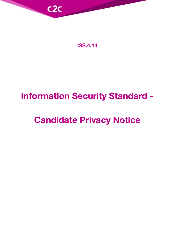

**ISS.4.14**

# **Information Security Standard -**

# **Candidate Privacy Notice**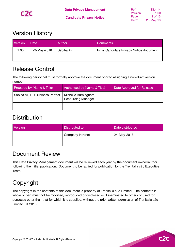

## <span id="page-1-0"></span>Version History

| Version | Date        | Author     | <b>Comments</b>                           |
|---------|-------------|------------|-------------------------------------------|
| 1.00    | 23-May-2018 | Sabiha Ali | Initial Candidate Privacy Notice document |
|         |             |            |                                           |

## <span id="page-1-1"></span>Release Control

The following personnel must formally approve the document prior to assigning a non-draft version number.

| Prepared by (Name & Title)      | Authorised by (Name & Title)                     | Date Approved for Release |
|---------------------------------|--------------------------------------------------|---------------------------|
| Sabiha Ali, HR Business Partner | Michelle Burningham<br><b>Resourcing Manager</b> |                           |
|                                 |                                                  |                           |

## <span id="page-1-2"></span>**Distribution**

| Version | Distributed to   | Date distributed |
|---------|------------------|------------------|
|         | Company Intranet | 24-May-2018      |
|         |                  |                  |

## <span id="page-1-3"></span>Document Review

This Data Privacy Management document will be reviewed each year by the document owner/author following the initial publication. Document to be ratified for publication by the Trenitalia c2c Executive Team.

# <span id="page-1-4"></span>Copyright

The copyright in the contents of this document is property of Trenitalia c2c Limited. The contents in whole or part must not be modified, reproduced or disclosed or disseminated to others or used for purposes other than that for which it is supplied, without the prior written permission of Trenitalia c2c Limited. © 2018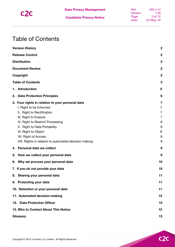

## <span id="page-2-0"></span>Table of Contents

|    | <b>Version History</b>                                                                                                                                                                                                                                | $\overline{2}$                                                                       |
|----|-------------------------------------------------------------------------------------------------------------------------------------------------------------------------------------------------------------------------------------------------------|--------------------------------------------------------------------------------------|
|    | <b>Release Control</b>                                                                                                                                                                                                                                | $\mathbf 2$                                                                          |
|    | <b>Distribution</b>                                                                                                                                                                                                                                   | $\boldsymbol{2}$                                                                     |
|    | <b>Document Review</b>                                                                                                                                                                                                                                | $\boldsymbol{2}$                                                                     |
|    | Copyright                                                                                                                                                                                                                                             | $\mathbf 2$                                                                          |
|    | <b>Table of Contents</b>                                                                                                                                                                                                                              | 3                                                                                    |
| 1. | Introduction                                                                                                                                                                                                                                          | 5                                                                                    |
| 2. | <b>Data Protection Principles</b>                                                                                                                                                                                                                     | 6                                                                                    |
|    | 3. Your rights in relation to your personal data<br>I. Right to be Informed<br>II. Right to Rectification<br>III. Right to Erasure<br>IV. Right to Restrict Processing<br>V. Right to Data Portability<br>VI. Right to Object<br>VII. Right of Access | $\overline{\mathbf{7}}$<br>$\overline{7}$<br>7<br>$\overline{7}$<br>8<br>8<br>8<br>8 |
|    | VIII. Rights in relation to automated decision making                                                                                                                                                                                                 | 8                                                                                    |
| 4. | Personal data we collect                                                                                                                                                                                                                              | 9                                                                                    |
| 5. | How we collect your personal data                                                                                                                                                                                                                     | 9                                                                                    |
| 6. | Why we process your personal data<br>7. If you do not provide your data                                                                                                                                                                               | 10<br>10                                                                             |
|    | 8. Sharing your personal data                                                                                                                                                                                                                         | 11                                                                                   |
|    | 9. Protecting your data                                                                                                                                                                                                                               | 11                                                                                   |
|    | 10. Retention or your personal data                                                                                                                                                                                                                   | 11                                                                                   |
|    | 11. Automated decision-making                                                                                                                                                                                                                         | 12                                                                                   |
|    | 12. Data Protection Officer                                                                                                                                                                                                                           | 12                                                                                   |
|    | 13. Who to Contact About This Notice                                                                                                                                                                                                                  | 12                                                                                   |
|    | Glossary                                                                                                                                                                                                                                              | 13                                                                                   |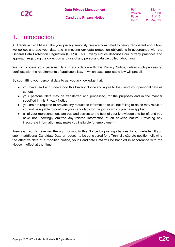## <span id="page-3-0"></span>1. Introduction

At Trenitalia c2c Ltd we take your privacy seriously. We are committed to being transparent about how we collect and use your data and in meeting our data protection obligations in accordance with the General Data Protection Regulation (GDPR). This Privacy Notice describes our privacy practices and approach regarding the collection and use of any personal data we collect about you.

We will process your personal data in accordance with this Privacy Notice, unless such processing conflicts with the requirements of applicable law, in which case, applicable law will prevail.

By submitting your personal data to us, you acknowledge that:

- you have read and understood this Privacy Notice and agree to the use of your personal data as set out
- your personal data may be transferred and processed, for the purposes and in the manner specified in this Privacy Notice
- you are not required to provide any requested information to us, but failing to do so may result in you not being able to continue your candidacy for the job for which you have applied
- all of your representations are true and correct to the best of your knowledge and belief, and you have not knowingly omitted any related information of an adverse nature. Providing any inaccurate information may make you ineligible for employment

Trenitalia c2c Ltd reserves the right to modify this Notice by posting changes to our website. If you submit additional Candidate Data or request to be considered for a Trenitalia c2c Ltd position following the effective date of a modified Notice, your Candidate Data will be handled in accordance with the Notice in effect at that time.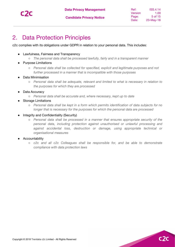

## <span id="page-4-0"></span>2. Data Protection Principles

c2c complies with its obligations under GDPR in relation to your personal data. This includes:

- Lawfulness, Fairness and Transparency
	- *The personal data shall be processed lawfully, fairly and in a transparent manner*
- **Purpose Limitations** 
	- *Personal data shall be collected for specified, explicit and legitimate purposes and not further processed in a manner that is incompatible with those purposes*
- Data Minimisation
	- *Personal data shall be adequate, relevant and limited to what is necessary in relation to the purposes for which they are processed*
- Data Accuracy
	- *Personal data shall be accurate and, where necessary, kept up to date*
	- **Storage Limitations** 
		- *Personal data shall be kept in a form which permits identification of data subjects for no longer that is necessary for the purposes for which the personal data are processed*
- Integrity and Confidentiality (Security)
	- *Personal data shall be processed in a manner that ensures appropriate security of the personal data, including protection against unauthorised or unlawful processing and against accidental loss, destruction or damage, using appropriate technical or organisational measures*
- Accountability
	- *c2c and all c2c Colleagues shall be responsible for, and be able to demonstrate compliance with data protection laws*

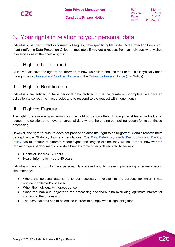$c2$ 

## <span id="page-5-0"></span>3. Your rights in relation to your personal data

Individuals, be they current or former Colleagues, have specific rights under Data Protection Laws. You **must** notify the Data Protection Officer immediately if you get a request from an individual who wishes to exercise one of their below rights:

### <span id="page-5-1"></span>I. Right to be Informed

All individuals have the right to be informed of how we collect and use their data. This is typically done through the c2c Privacy and [Cookies](https://www.c2c-online.co.uk/privacy-and-cookies-notice/) Notice and the [Colleague](https://docs.google.com/document/d/1P4wt1kYwVwXOemc3m2GjGYutP6zLBgzo1lPWi6FyjFA/edit?usp=sharing) Privacy Notice (this Notice).

#### <span id="page-5-2"></span>II. Right to Rectification

Individuals are entitled to have personal data rectified if it is inaccurate or incomplete. We have an obligation to correct the inaccuracies and to respond to the request within one month.

#### <span id="page-5-3"></span>III. Right to Erasure

The right to erasure is also known as 'the right to be forgotten'. This right enables an individual to request the deletion or removal of personal data where there is no compelling reason for its continued processing.

However, the right to erasure does not provide an absolute 'right to be forgotten'. Certain records must be kept under Statutory Law and regulations. The **Data Retention, Media [Destruction](https://docs.google.com/document/d/1QTj9RHtBJQe-FOrhrvCTUBzze9GrnTqmiHuEYpGTIBk/edit?usp=sharing) and Backup** [Policy](https://docs.google.com/document/d/1QTj9RHtBJQe-FOrhrvCTUBzze9GrnTqmiHuEYpGTIBk/edit?usp=sharing) has full details of different record types and lengths of time they will be kept for, however the following types of documents provide a brief example of records required to be kept;

- Financial Records 7 Years
- Health Information upto 40 years

Individuals have a right to have personal data erased and to prevent processing in some specific circumstances:

- Where the personal data is no longer necessary in relation to the purpose for which it was originally collected/processed.
- When the individual withdraws consent.
- When the individual objects to the processing and there is no overriding legitimate interest for continuing the processing.
- The personal data has to be erased in order to comply with a legal obligation.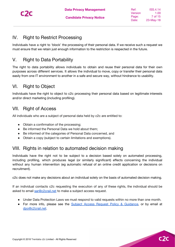

### <span id="page-6-0"></span>IV. Right to Restrict Processing

Individuals have a right to 'block' the processing of their personal data. If we receive such a request we must ensure that we retain just enough information to the restriction is respected in the future.

#### <span id="page-6-1"></span>V. Right to Data Portability

The right to data portability allows individuals to obtain and reuse their personal data for their own purposes across different services. It allows the individual to move, copy or transfer their personal data easily from one IT environment to another in a safe and secure way, without hindrance to usability.

## <span id="page-6-2"></span>VI. Right to Object

Individuals have the right to object to c2c processing their personal data based on legitimate interests and/or direct marketing (including profiling).

#### <span id="page-6-3"></span>VII. Right of Access

All individuals who are a subject of personal data held by c2c are entitled to:

- Obtain a confirmation of the processing;
- Be informed the Personal Data we hold about them;
- Be informed of the categories of Personal Data concerned, and
- Obtain a copy (subject to certain limitations and exemptions).

#### <span id="page-6-4"></span>VIII. Rights in relation to automated decision making

Individuals have the right not to be subject to a decision based solely on automated processing, including profiling, which produces legal (or similarly significant) effects concerning the individual without any human intervention (eg automatic refusal of an online credit application or decisions on recruitment).

c2c does not make any decisions about an individual solely on the basis of automated decision making.

If an individual contacts c2c requesting the execution of any of these rights, the individual should be asked to email [sar@c2crail.net](mailto:dpo@c2crail.net) to make a subject access request.

- Under Data Protection Laws we must respond to valid requests within no more than one month.
- For more info, please see the Subject Access Request Policy & [Guidance](https://docs.google.com/document/d/14-6enouEDc0dksoUZyxEBTUYf6b3WMMrp_Io8Wx8RrU/edit?usp=sharing), or by email at [dpo@c2crail.net.](mailto:dpo@c2crail.net)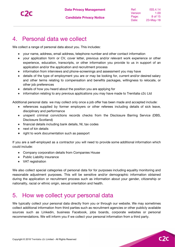$C<sub>2</sub>$ 

## <span id="page-7-0"></span>4. Personal data we collect

We collect a range of personal data about you. This includes:

- your name, address, email address, telephone number and other contact information
- your application form or CV, cover letter, previous and/or relevant work experience or other experience, education, transcripts, or other information you provide to us in support of an application and/or the application and recruitment process
- information from interviews and phone-screenings and assessment you may have
- details of the type of employment you are or may be looking for, current and/or desired salary and other terms relating to compensation and benefits packages, willingness to relocate, or other job preferences
- details of how you heard about the position you are applying for
- information relating to any previous applications you may have made to Trenitalia c2c Ltd

Additional personal data we may collect only once a job offer has been made and accepted include:

- references supplied by former employers or other referees including details of sick leave, disciplinary and performance
- unspent criminal convictions records checks from the Disclosure Barring Service (DBS, Disclosure Scotland)
- financial details including bank details, NI, tax codes
- next of kin details
- right to work documentation such as passport

If you are a self-employed as a contractor you will need to provide some additional information which could include:

- Company corporation details from Companies House
- Public Liability insurance
- VAT registration

We also collect special categories of personal data for for purposes including equality monitoring and reasonable adjustment purposes. This will be sensitive and/or demographic information obtained during the application or recruitment process such as information about your gender, citizenship or nationality, racial or ethnic origin, sexual orientation and health.

## <span id="page-7-1"></span>5. How we collect your personal data

We typically collect your personal data directly from you or through our website. We may sometimes collect additional information from third parties such as recruitment agencies or other publicly available sources such as Linkedin, business Facebook, jobs boards, corporate websites or personal recommendations. We will inform you if we collect your personal information from a third party.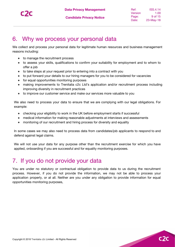$c2$ 

## <span id="page-8-0"></span>6. Why we process your personal data

We collect and process your personal data for legitimate human resources and business management reasons including:

- to manage the recruitment process
- to assess your skills, qualifications to confirm your suitability for employment and to whom to offer a job
- to take steps at your request prior to entering into a contract with you
- to put forward your details to our hiring managers for you to be considered for vacancies
- for equal opportunities monitoring purposes
- making improvements to Trenitalia c2c Ltd's application and/or recruitment process including improving diversity in recruitment practices
- to improve our customer service and make our services more valuable to you

We also need to process your data to ensure that we are complying with our legal obligations. For example:

- checking your eligibility to work in the UK before employment starts if successful
- medical information for making reasonable adjustments at interviews and assessments
- monitoring of our recruitment and hiring process for diversity and equality

In some cases we may also need to process data from candidates/job applicants to respond to and defend against legal claims.

We will not use your data for any purpose other than the recruitment exercise for which you have applied, onboarding if you are successful and for equality monitoring purposes.

## <span id="page-8-1"></span>7. If you do not provide your data

You are under no statutory or contractual obligation to provide data to us during the recruitment process. However, if you do not provide the information, we may not be able to process your application properly, or at all. Neither are you under any obligation to provide information for equal opportunities monitoring purposes,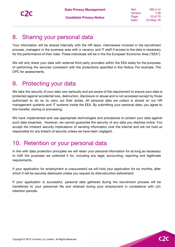Ref: Version Page: Date: ISS.4.14 1.00 10 of 15 23-May-18

 $C<sub>2</sub>$ 

## <span id="page-9-0"></span>8. Sharing your personal data

Your information will be shared internally with the HR team, interviewers involved in the recruitment process, managers in the business area with a vacancy and IT staff if access to the data is necessary for the performance of their roles. These individuals will be in the the European Economic Area ("EEA").

We will only share your data with external third party providers within the EEA solely for the purposes of performing the services consistent with the protections specified in this Notice. For example, The OPC for assessments.

## <span id="page-9-1"></span>9. Protecting your data

We take the security of your data very seriously and are aware of the requirement to ensure your data is protected against accidental loss, destruction, disclosure or abuse and is not accessed except by those authorised to do so to carry out their duties. All personal data we collect is stored on our HR management systems and IT systems inside the EEA. By submitting your personal data, you agree to this transfer, storing or processing.

We have implemented and use appropriate technologies and procedures to protect your data against such data breaches. However, we cannot guarantee the security of any data you disclose online. You accept the inherent security implications of sending information over the internet and will not hold us responsible for any breach of security unless we have been negligent.

## <span id="page-9-2"></span>10. Retention or your personal data

In line with data protection principles we will retain your personal information for as long as necessary to fulfil the purposes we collected it for, including any legal, accounting, reporting and legitimate requirements.

If your application for employment is unsuccessful we will hold your application for six months, after which it will be securely destroyed unless you request its distrustruction beforehand.

If your application is successful, personal data gathered during the recruitment process will be transferred to your personnel file and retained during your employment in compliance with c2c retention periods.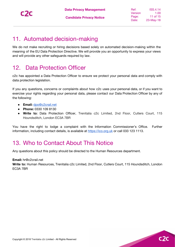$C<sub>2</sub>$ 

## <span id="page-10-0"></span>11. Automated decision-making

We do not make recruiting or hiring decisions based solely on automated decision-making within the meaning of the EU Data Protection Directive. We will provide you an opportunity to express your views and will provide any other safeguards required by law.

## <span id="page-10-1"></span>12. Data Protection Officer

c2c has appointed a Data Protection Officer to ensure we protect your personal data and comply with data protection legislation.

If you any questions, concerns or complaints about how c2c uses your personal data, or if you want to exercise your rights regarding your personal data, please contact our Data Protection Officer by any of the following:

- **Email:** [dpo@c2crail.net](mailto:dpo@c2crail.net)
- **Phone:** 0330 109 8130
- **Write to:** Data Protection Officer, Trenitalia c2c Limited, 2nd Floor, Cutlers Court, 115 Houndsditch, London EC3A 7BR

You have the right to lodge a complaint with the Information Commissioner's Office. Further information, including contact details, is available at [https://ico.org.uk](https://ico.org.uk/) or call 033 123 1113.

## <span id="page-10-2"></span>13. Who to Contact About This Notice

Any questions about this policy should be directed to the Human Resources department.

**Email:** hr@c2crail.net

**Write to:** Human Resources, Trenitalia c2c Limited, 2nd Floor, Cutlers Court, 115 Houndsditch, London EC3A 7BR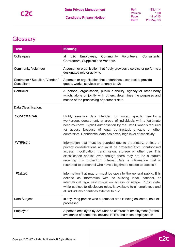# <span id="page-11-0"></span>**Glossary**

| <b>Term</b>                                                                                                                                                                                   | <b>Meaning</b>                                                                                                                                                                                                                                                                                                                                                                                                |
|-----------------------------------------------------------------------------------------------------------------------------------------------------------------------------------------------|---------------------------------------------------------------------------------------------------------------------------------------------------------------------------------------------------------------------------------------------------------------------------------------------------------------------------------------------------------------------------------------------------------------|
| Colleagues                                                                                                                                                                                    | c2c<br>Volunteers,<br>Employees, Community<br>Consultants,<br>all<br>Contractors, Suppliers and Vendors.                                                                                                                                                                                                                                                                                                      |
| <b>Community Volunteer</b>                                                                                                                                                                    | A person or organisation that freely provides a service or performs a<br>designated role or activity.                                                                                                                                                                                                                                                                                                         |
| Contractor / Supplier / Vendor /<br>Consultant                                                                                                                                                | A person or organisation that undertakes a contract to provide<br>goods, works, services or tenancy to c2c                                                                                                                                                                                                                                                                                                    |
| Controller<br>A person, organisation, public authority, agency or other body<br>which, alone or jointly with others, determines the purposes and<br>means of the processing of personal data. |                                                                                                                                                                                                                                                                                                                                                                                                               |
| Data Classification:                                                                                                                                                                          |                                                                                                                                                                                                                                                                                                                                                                                                               |
| <b>CONFIDENTIAL</b>                                                                                                                                                                           | Highly sensitive data intended for limited, specific use by a<br>workgroup, department, or group of individuals with a legitimate<br>need-to-know. Explicit authorisation by the Data Owner is required<br>for access because of legal, contractual, privacy, or other<br>constraints. Confidential data has a very high level of sensitivity                                                                 |
| <b>INTERNAL</b>                                                                                                                                                                               | Information that must be guarded due to proprietary, ethical, or<br>privacy considerations and must be protected from unauthorised<br>access, modification, transmission, storage or other use. This<br>classification applies even though there may not be a statute<br>requiring this protection. Internal Data is information that is<br>restricted to personnel who have a legitimate reason to access it |
| <b>PUBLIC</b>                                                                                                                                                                                 | Information that may or must be open to the general public. It is<br>defined as information with no existing local, national, or<br>international legal restrictions on access or usage. Public data,<br>while subject to disclosure rules, is available to all employees and<br>all individuals or entities external to c2c                                                                                  |
| Data Subject                                                                                                                                                                                  | Is any living person who's personal data is being collected, held or<br>processed.                                                                                                                                                                                                                                                                                                                            |
| Employee                                                                                                                                                                                      | A person employed by c2c under a contract of employment (for the<br>avoidance of doubt this includes FTE's and those employed on                                                                                                                                                                                                                                                                              |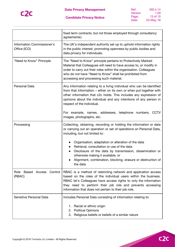

| Ref:    | ISS.4.14  |
|---------|-----------|
| Version | 1.00      |
| Page:   | 13 of 15  |
| Date:   | 23-May-18 |

|                                            | fixed term contracts, but not those employed through consultancy<br>agreements)                                                                                                                                                                                                                                                                                                |  |
|--------------------------------------------|--------------------------------------------------------------------------------------------------------------------------------------------------------------------------------------------------------------------------------------------------------------------------------------------------------------------------------------------------------------------------------|--|
| Information Commissioner's<br>Office (ICO) | The UK's independent authority set up to uphold information rights<br>in the public interest, promoting openness by public bodies and<br>data privacy for individuals.                                                                                                                                                                                                         |  |
| "Need to Know" Principle                   | The "Need to Know" principle pertains to Protectively Marked<br>Material that Colleagues will need to have access to, or modify in<br>order to carry out their roles within the organisation. Colleagues<br>who do not have "Need to Know" shall be prohibited from<br>accessing and processing such material.                                                                 |  |
| Personal Data                              | Any information relating to a living individual who can be identified<br>from that information – either on its own or when put together with<br>other information that c2c holds. This includes any expression of<br>opinions about the individual and any intentions of any person in<br>respect of the individual.<br>For example, names, addresses, telephone numbers, CCTV |  |
|                                            | images, photographs, etc.                                                                                                                                                                                                                                                                                                                                                      |  |
| Processing                                 | Collecting, obtaining, recording or holding the information or data<br>or carrying out an operation or set of operations on Personal Data,<br>including, but not limited to:                                                                                                                                                                                                   |  |
|                                            | Organisation, adaptation or alteration of the data<br>Retrieval, consultation or use of the data<br>Disclosure of the data by transmission, dissemination or<br>otherwise making it available, or<br>Alignment, combination, blocking, erasure or destruction of<br>the data                                                                                                   |  |
| Role Based Access Control<br>(RBAC)        | RBAC is a method of restricting network and application access<br>based on the roles of the individual users within the business.<br>RBAC let's Colleagues have access rights to only the information<br>they need to perform their job role and prevents accessing<br>information that does not pertain to their job role.                                                    |  |
| Sensitive Personal Data                    | Includes Personal Data consisting of information relating to:                                                                                                                                                                                                                                                                                                                  |  |
|                                            | 1. Racial or ethnic origin<br><b>Political Opinions</b><br>2.<br>Religious beliefs or beliefs of a similar nature<br>3.                                                                                                                                                                                                                                                        |  |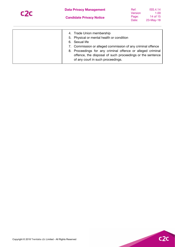

| Ref:    | ISS.4.14  |
|---------|-----------|
| Version | 1.00      |
| Page:   | 14 of 15  |
| Date:   | 23-May-18 |

| 4. Trade Union membership<br>5. Physical or mental health or condition<br>6. Sexual life<br>7. Commission or alleged commission of any criminal offence<br>8. Proceedings for any criminal offence or alleged criminal<br>offence, the disposal of such proceedings or the sentence<br>of any court in such proceedings. |
|--------------------------------------------------------------------------------------------------------------------------------------------------------------------------------------------------------------------------------------------------------------------------------------------------------------------------|
|                                                                                                                                                                                                                                                                                                                          |